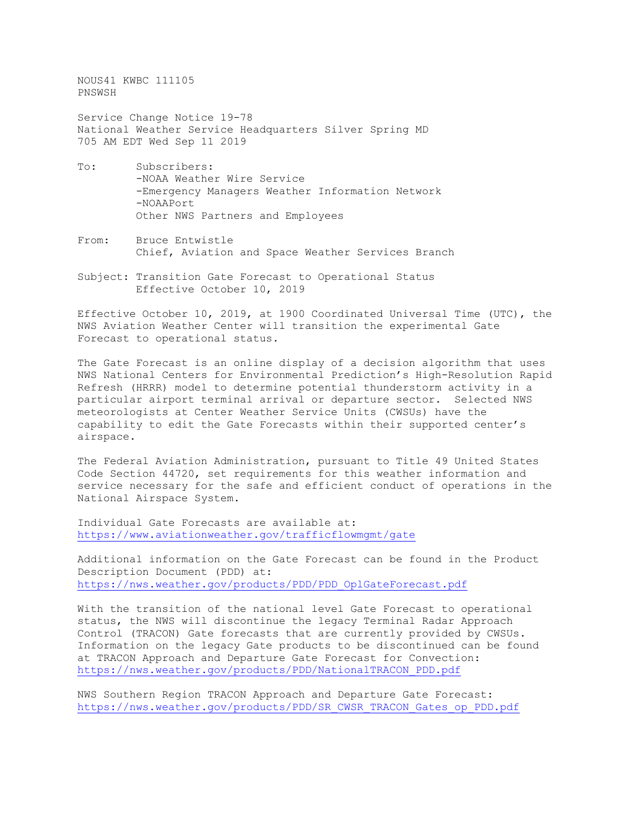NOUS41 KWBC 111105 PNSWSH

Service Change Notice 19-78 National Weather Service Headquarters Silver Spring MD 705 AM EDT Wed Sep 11 2019

- To: Subscribers: -NOAA Weather Wire Service -Emergency Managers Weather Information Network -NOAAPort Other NWS Partners and Employees
- From: Bruce Entwistle Chief, Aviation and Space Weather Services Branch
- Subject: Transition Gate Forecast to Operational Status Effective October 10, 2019

Effective October 10, 2019, at 1900 Coordinated Universal Time (UTC), the NWS Aviation Weather Center will transition the experimental Gate Forecast to operational status.

The Gate Forecast is an online display of a decision algorithm that uses NWS National Centers for Environmental Prediction's High-Resolution Rapid Refresh (HRRR) model to determine potential thunderstorm activity in a particular airport terminal arrival or departure sector. Selected NWS meteorologists at Center Weather Service Units (CWSUs) have the capability to edit the Gate Forecasts within their supported center's airspace.

The Federal Aviation Administration, pursuant to Title 49 United States Code Section 44720, set requirements for this weather information and service necessary for the safe and efficient conduct of operations in the National Airspace System.

Individual Gate Forecasts are available at: <https://www.aviationweather.gov/trafficflowmgmt/gate>

Additional information on the Gate Forecast can be found in the Product Description Document (PDD) at: [https://nws.weather.gov/products/PDD/PDD\\_OplGateForecast.pdf](https://nws.weather.gov/products/PDD/PDD_OplGateForecast.pdf)

With the transition of the national level Gate Forecast to operational status, the NWS will discontinue the legacy Terminal Radar Approach Control (TRACON) Gate forecasts that are currently provided by CWSUs. Information on the legacy Gate products to be discontinued can be found at TRACON Approach and Departure Gate Forecast for Convection: [https://nws.weather.gov/products/PDD/NationalTRACON\\_PDD.pdf](https://nws.weather.gov/products/PDD/NationalTRACON_PDD.pdf)

NWS Southern Region TRACON Approach and Departure Gate Forecast: [https://nws.weather.gov/products/PDD/SR\\_CWSR\\_TRACON\\_Gates\\_op\\_PDD.pdf](https://nws.weather.gov/products/PDD/SR_CWSR_TRACON_Gates_op_PDD.pdf)